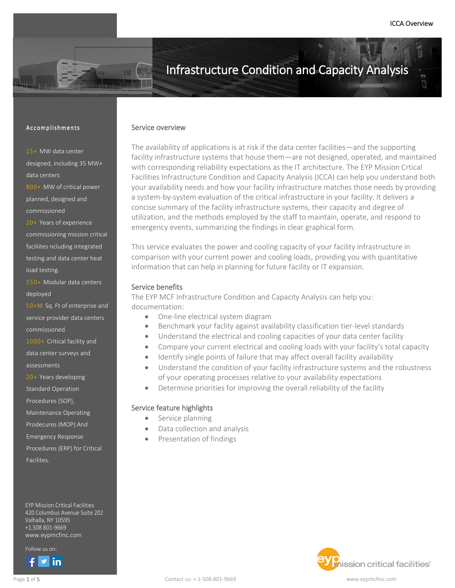### Accomplishments

15+ MW data center designed, including 35 MW+ data centers

800+ MW of critical power planned, designed and commissioned

20+ Years of experience commissioning mission critical faciliites ncluding integrated testing and data center heat load testing.

150+ Modular data centers deployed

50+M Sq. Ft of enterprise and service provider data centers commissioned

1000+ Critical facility and data center surveys and assessments

20+ Years developing

Standard Operation

Procedures (SOP),

- Maintenance Operating
- Prodecures (MOP) And
- Emergency Response

Procedures (ERP) for Critical

Facilites.

EYP Mission Critical Facilities 420 Columbus Avenue Suite 202 Valhalla, NY 10595 +1.508 801-9669 www.eypmcfinc.com

Follow us on:

[Follow us](https://www.facebook.com/eypmcf/) [on :](https://twitter.com/eypmcf)

l

### Service overview

The availability of applications is at risk if the data center facilities—and the supporting facility infrastructure systems that house them—are not designed, operated, and maintained with corresponding reliability expectations as the IT architecture. The EYP Mission Crtical Facilities Infrastructure Condition and Capacity Analysis (ICCA) can help you understand both your availability needs and how your facility infrastructure matches those needs by providing a system-by-system evaluation of the critical infrastructure in your facility. It delivers a concise summary of the facility infrastructure systems, their capacity and degree of utilization, and the methods employed by the staff to maintain, operate, and respond to emergency events, summarizing the findings in clear graphical form.

This service evaluates the power and cooling capacity of your facility infrastructure in comparison with your current power and cooling loads, providing you with quantitative information that can help in planning for future facility or IT expansion.

### Service benefits

The EYP MCF Infrastructure Condition and Capacity Analysis can help you: documentation:

- One-line electrical system diagram
- Benchmark your faclity against availability classification tier-level standards
- Understand the electrical and cooling capacities of your data center facility
- Compare your current electrical and cooling loads with your facility's total capacity
- Identify single points of failure that may affect overall facility availability
- Understand the condition of your facility infrastructure systems and the robustness of your operating processes relative to your availability expectations
- Determine priorities for improving the overall reliability of the facility

## Service feature highlights

- Service planning
- Data collection and analysis
- Presentation of findings

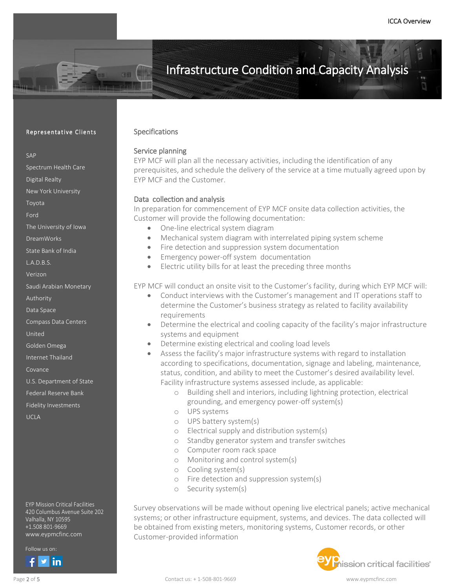#### Representative Clients

#### SAP

Spectrum Health Care

Digital Realty

New York University

Toyota

Ford

The University of Iowa

DreamWorks

State Bank of India

L.A.D.B.S.

Verizon

Saudi Arabian Monetary

Authority

Data Space

Compass Data Centers

United

Golden Omega

Internet Thailand

Covance

U.S. Department of State

Federal Reserve Bank

Fidelity Investments

UCLA

EYP Mission Critical Facilities 420 Columbus Avenue Suite 202 Valhalla, NY 10595 +1.508 801-9669 www.eypmcfinc.com

Follow us on:

[Follow us](https://www.facebook.com/eypmcf/) [on :](https://twitter.com/eypmcf)

## Specifications

## Service planning

EYP MCF will plan all the necessary activities, including the identification of any prerequisites, and schedule the delivery of the service at a time mutually agreed upon by EYP MCF and the Customer.

### Data collection and analysis

In preparation for commencement of EYP MCF onsite data collection activities, the Customer will provide the following documentation:

- One-line electrical system diagram
- Mechanical system diagram with interrelated piping system scheme
- Fire detection and suppression system documentation
- Emergency power-off system documentation
- Electric utility bills for at least the preceding three months

EYP MCF will conduct an onsite visit to the Customer's facility, during which EYP MCF will:

- Conduct interviews with the Customer's management and IT operations staff to determine the Customer's business strategy as related to facility availability requirements
- Determine the electrical and cooling capacity of the facility's major infrastructure systems and equipment
- Determine existing electrical and cooling load levels
- Assess the facility's major infrastructure systems with regard to installation according to specifications, documentation, signage and labeling, maintenance, status, condition, and ability to meet the Customer's desired availability level. Facility infrastructure systems assessed include, as applicable:
	- o Building shell and interiors, including lightning protection, electrical grounding, and emergency power-off system(s)
	- o UPS systems
	- o UPS battery system(s)
	- o Electrical supply and distribution system(s)
	- o Standby generator system and transfer switches
	- o Computer room rack space
	- o Monitoring and control system(s)
	- o Cooling system(s)
	- o Fire detection and suppression system(s)
	- o Security system(s)

Survey observations will be made without opening live electrical panels; active mechanical systems; or other infrastructure equipment, systems, and devices. The data collected will be obtained from existing meters, monitoring systems, Customer records, or other Customer-provided information

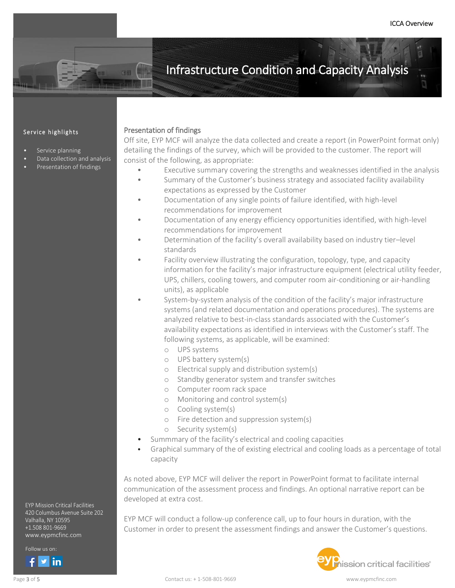### Service highlights

- Service planning
- Data collection and analysis
- Presentation of findings

## Presentation of findings

Off site, EYP MCF will analyze the data collected and create a report (in PowerPoint format only) detailing the findings of the survey, which will be provided to the customer. The report will consist of the following, as appropriate:

- Executive summary covering the strengths and weaknesses identified in the analysis
- Summary of the Customer's business strategy and associated facility availability expectations as expressed by the Customer
- Documentation of any single points of failure identified, with high-level recommendations for improvement
- Documentation of any energy efficiency opportunities identified, with high-level recommendations for improvement
- Determination of the facility's overall availability based on industry tier–level standards
- Facility overview illustrating the configuration, topology, type, and capacity information for the facility's major infrastructure equipment (electrical utility feeder, UPS, chillers, cooling towers, and computer room air-conditioning or air-handling units), as applicable
- System-by-system analysis of the condition of the facility's major infrastructure systems (and related documentation and operations procedures). The systems are analyzed relative to best-in-class standards associated with the Customer's availability expectations as identified in interviews with the Customer's staff. The following systems, as applicable, will be examined:
	- o UPS systems
	- o UPS battery system(s)
	- o Electrical supply and distribution system(s)
	- o Standby generator system and transfer switches
	- o Computer room rack space
	- o Monitoring and control system(s)
	- o Cooling system(s)
	- o Fire detection and suppression system(s)
	- o Security system(s)
- Summmary of the facility's electrical and cooling capacities
- Graphical summary of the of existing electrical and cooling loads as a percentage of total capacity

As noted above, EYP MCF will deliver the report in PowerPoint format to facilitate internal communication of the assessment process and findings. An optional narrative report can be developed at extra cost.

EYP MCF will conduct a follow-up conference call, up to four hours in duration, with the Customer in order to present the assessment findings and answer the Customer's questions.



EYP Mission Critical Facilities 420 Columbus Avenue Suite 202 Valhalla, NY 10595 +1.508 801-9669 www.eypmcfinc.com

[Follow us](https://www.facebook.com/eypmcf/) [on :](https://twitter.com/eypmcf) Follow us on:

l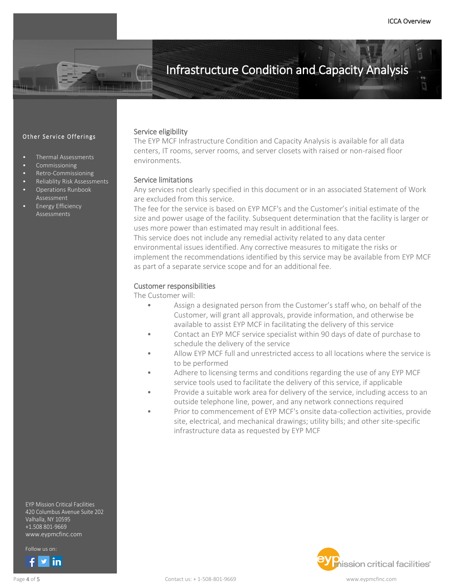### Other Service Offerings

- Thermal Assessments
- Commissioning
- Retro-Commissioning
- Reliablity Risk Assessments • Operations Runbook
- Assessment • Energy Efficiency
- Assessments

Service eligibility

The EYP MCF Infrastructure Condition and Capacity Analysis is available for all data centers, IT rooms, server rooms, and server closets with raised or non-raised floor environments.

### Service limitations

Any services not clearly specified in this document or in an associated Statement of Work are excluded from this service.

The fee for the service is based on EYP MCF's and the Customer's initial estimate of the size and power usage of the facility. Subsequent determination that the facility is larger or uses more power than estimated may result in additional fees.

This service does not include any remedial activity related to any data center environmental issues identified. Any corrective measures to mitigate the risks or implement the recommendations identified by this service may be available from EYP MCF as part of a separate service scope and for an additional fee.

### Customer responsibilities

The Customer will:

- Assign a designated person from the Customer's staff who, on behalf of the Customer, will grant all approvals, provide information, and otherwise be available to assist EYP MCF in facilitating the delivery of this service
- Contact an EYP MCF service specialist within 90 days of date of purchase to schedule the delivery of the service
- Allow EYP MCF full and unrestricted access to all locations where the service is to be performed
- Adhere to licensing terms and conditions regarding the use of any EYP MCF service tools used to facilitate the delivery of this service, if applicable
- Provide a suitable work area for delivery of the service, including access to an outside telephone line, power, and any network connections required
- Prior to commencement of EYP MCF's onsite data-collection activities, provide site, electrical, and mechanical drawings; utility bills; and other site-specific infrastructure data as requested by EYP MCF



EYP Mission Critical Facilities 420 Columbus Avenue Suite 202 Valhalla, NY 10595 +1.508 801-9669 www.eypmcfinc.com

Follow us on:



ׇ֚֡֬